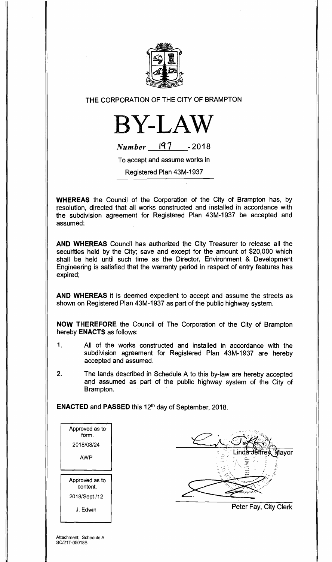

THE CORPORATION OF THE CITY OF BRAMPTON



**Number** 197 - 2018

To accept and assume works in

Registered Plan 43M-1937

**WHEREAS** the Council of the Corporation of the City of Brampton has, by resolution, directed that all works constructed and installed in accordance with the subdivision agreement for Registered Plan 43M-1937 be accepted and assumed;

**AND WHEREAS** Council has authorized the City Treasurer to release all the securities held by the City; save and except for the amount of \$20,000 which shall be held until such time as the Director, Environment & Development Engineering is satisfied that the warranty period in respect of entry features has expired;

**AND WHEREAS** it is deemed expedient to accept and assume the streets as shown on Registered Plan 43M-1937 as part of the public highway system.

**NOW THEREFORE** the Council of The Corporation of the City of Brampton hereby **ENACTS** as follows:

- 1. All of the works constructed and installed in accordance with the subdivision agreement for Registered Plan 43M-1937 are hereby accepted and assumed.
- 2. The lands described in Schedule A to this by-law are hereby accepted and assumed as part of the public highway system of the City of Brampton.

**ENACTED** and **PASSED** this 12th day of September, 2018.

| Approved as to<br>form. |
|-------------------------|
| 2018/08/24              |
| AWP                     |
|                         |
| Approved as to          |
| content.                |
| 2018/Sept./12           |

ayor

Peter Fay, City Clerk

Attachment: Schedule A SC/21T-05018B